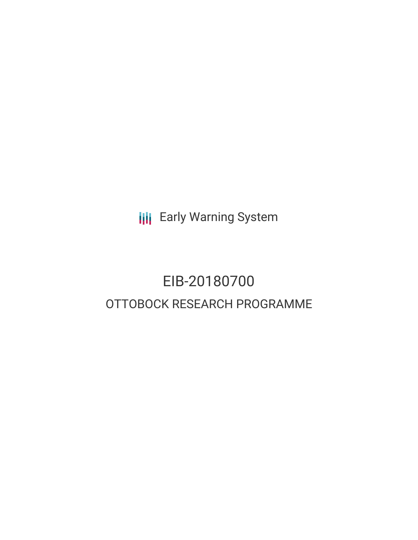**III** Early Warning System

# EIB-20180700 OTTOBOCK RESEARCH PROGRAMME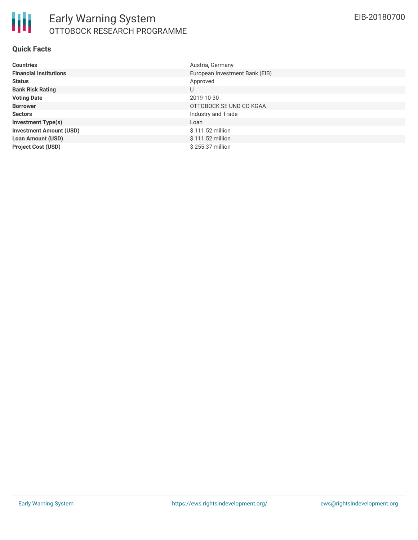

### **Quick Facts**

| <b>Countries</b>               | Austria, Germany               |
|--------------------------------|--------------------------------|
| <b>Financial Institutions</b>  | European Investment Bank (EIB) |
| <b>Status</b>                  | Approved                       |
| <b>Bank Risk Rating</b>        | U                              |
| <b>Voting Date</b>             | 2019-10-30                     |
| <b>Borrower</b>                | OTTOBOCK SE UND CO KGAA        |
| <b>Sectors</b>                 | Industry and Trade             |
| <b>Investment Type(s)</b>      | Loan                           |
| <b>Investment Amount (USD)</b> | \$111.52 million               |
| <b>Loan Amount (USD)</b>       | $$111.52$ million              |
| <b>Project Cost (USD)</b>      | \$255.37 million               |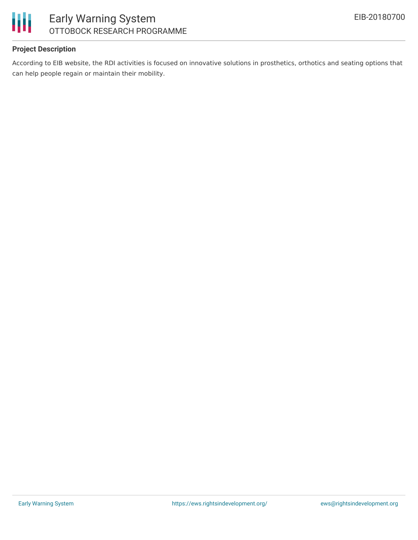

# Early Warning System OTTOBOCK RESEARCH PROGRAMME

### **Project Description**

According to EIB website, the RDI activities is focused on innovative solutions in prosthetics, orthotics and seating options that can help people regain or maintain their mobility.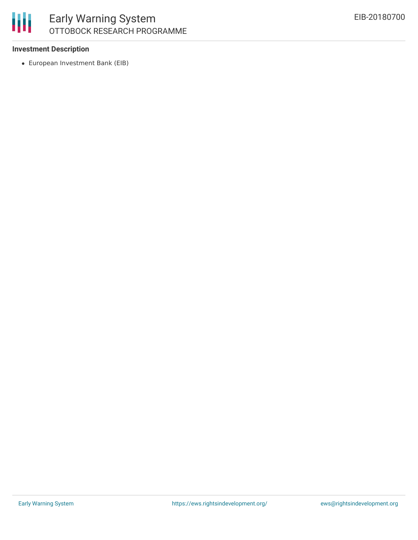

### **Investment Description**

European Investment Bank (EIB)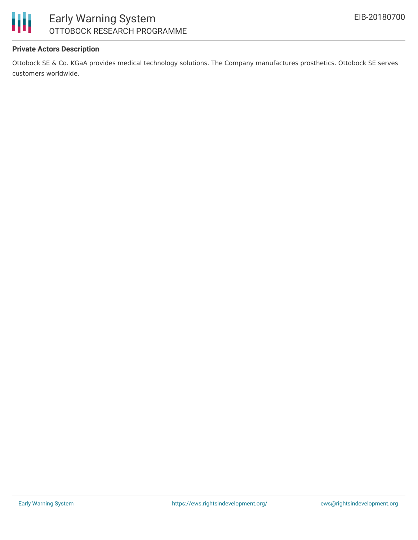

# Early Warning System OTTOBOCK RESEARCH PROGRAMME

### **Private Actors Description**

Ottobock SE & Co. KGaA provides medical technology solutions. The Company manufactures prosthetics. Ottobock SE serves customers worldwide.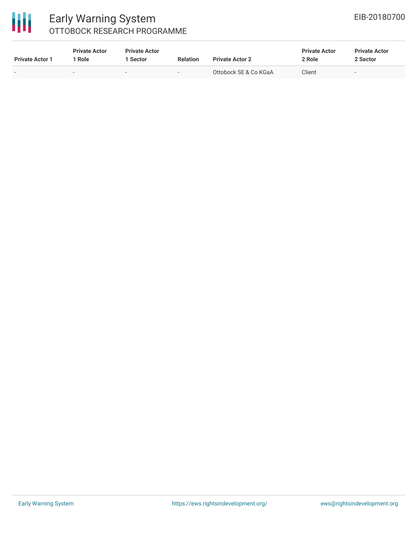# 冊

### Early Warning System OTTOBOCK RESEARCH PROGRAMME

| <b>Private Actor 1</b>   | <b>Private Actor</b><br><b>Role</b> | <b>Private Actor</b><br>Sector | <b>Relation</b>          | <b>Private Actor 2</b> | <b>Private Actor</b><br>2 Role | <b>Private Actor</b><br>2 Sector |
|--------------------------|-------------------------------------|--------------------------------|--------------------------|------------------------|--------------------------------|----------------------------------|
| $\overline{\phantom{0}}$ |                                     | $\overline{\phantom{a}}$       | $\overline{\phantom{a}}$ | Ottobock SE & Co KGaA  | Client                         |                                  |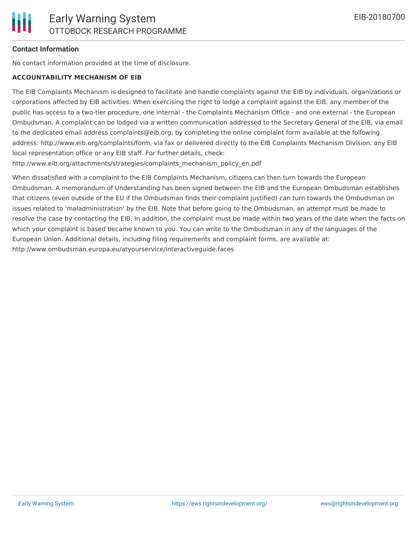### **Contact Information**

No contact information provided at the time of disclosure.

#### **ACCOUNTABILITY MECHANISM OF EIB**

The EIB Complaints Mechanism is designed to facilitate and handle complaints against the EIB by individuals, organizations or corporations affected by EIB activities. When exercising the right to lodge a complaint against the EIB, any member of the public has access to a two-tier procedure, one internal - the Complaints Mechanism Office - and one external - the European Ombudsman. A complaint can be lodged via a written communication addressed to the Secretary General of the EIB, via email to the dedicated email address complaints@eib.org, by completing the online complaint form available at the following address: http://www.eib.org/complaints/form, via fax or delivered directly to the EIB Complaints Mechanism Division, any EIB local representation office or any EIB staff. For further details, check:

http://www.eib.org/attachments/strategies/complaints\_mechanism\_policy\_en.pdf

When dissatisfied with a complaint to the EIB Complaints Mechanism, citizens can then turn towards the European Ombudsman. A memorandum of Understanding has been signed between the EIB and the European Ombudsman establishes that citizens (even outside of the EU if the Ombudsman finds their complaint justified) can turn towards the Ombudsman on issues related to 'maladministration' by the EIB. Note that before going to the Ombudsman, an attempt must be made to resolve the case by contacting the EIB. In addition, the complaint must be made within two years of the date when the facts on which your complaint is based became known to you. You can write to the Ombudsman in any of the languages of the European Union. Additional details, including filing requirements and complaint forms, are available at: http://www.ombudsman.europa.eu/atyourservice/interactiveguide.faces